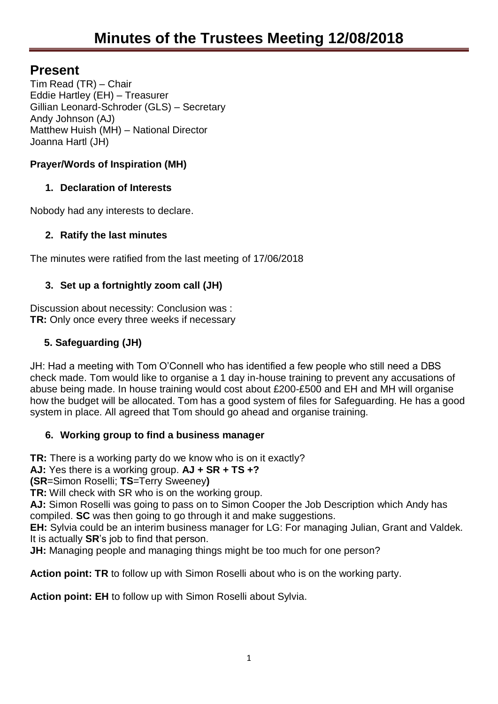# **Present**

Tim Read (TR) – Chair Eddie Hartley (EH) – Treasurer Gillian Leonard-Schroder (GLS) – Secretary Andy Johnson (AJ) Matthew Huish (MH) – National Director Joanna Hartl (JH)

# **Prayer/Words of Inspiration (MH)**

# **1. Declaration of Interests**

Nobody had any interests to declare.

# **2. Ratify the last minutes**

The minutes were ratified from the last meeting of 17/06/2018

# **3. Set up a fortnightly zoom call (JH)**

Discussion about necessity: Conclusion was : **TR:** Only once every three weeks if necessary

# **5. Safeguarding (JH)**

JH: Had a meeting with Tom O'Connell who has identified a few people who still need a DBS check made. Tom would like to organise a 1 day in-house training to prevent any accusations of abuse being made. In house training would cost about £200-£500 and EH and MH will organise how the budget will be allocated. Tom has a good system of files for Safeguarding. He has a good system in place. All agreed that Tom should go ahead and organise training.

# **6. Working group to find a business manager**

**TR:** There is a working party do we know who is on it exactly?

**AJ:** Yes there is a working group. **AJ + SR + TS +?**

**(SR**=Simon Roselli; **TS**=Terry Sweeney**)**

**TR:** Will check with SR who is on the working group.

**AJ:** Simon Roselli was going to pass on to Simon Cooper the Job Description which Andy has compiled. **SC** was then going to go through it and make suggestions.

**EH:** Sylvia could be an interim business manager for LG: For managing Julian, Grant and Valdek. It is actually **SR**'s job to find that person.

**JH:** Managing people and managing things might be too much for one person?

**Action point: TR** to follow up with Simon Roselli about who is on the working party.

**Action point: EH** to follow up with Simon Roselli about Sylvia.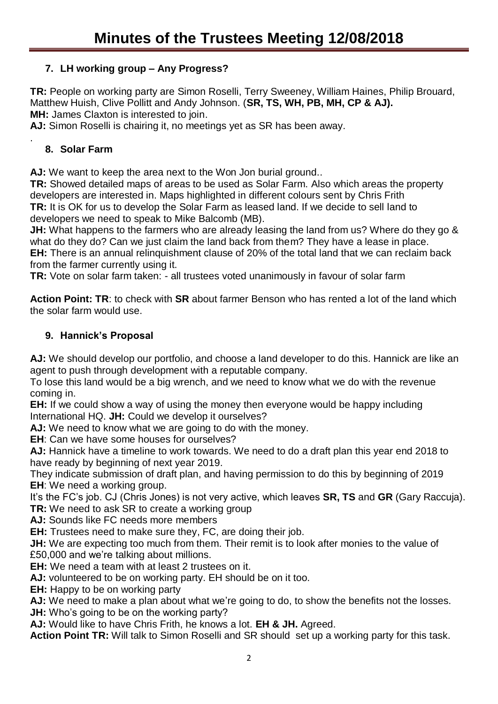## **7. LH working group – Any Progress?**

**TR:** People on working party are Simon Roselli, Terry Sweeney, William Haines, Philip Brouard, Matthew Huish, Clive Pollitt and Andy Johnson. (**SR, TS, WH, PB, MH, CP & AJ). MH:** James Claxton is interested to join.

**AJ:** Simon Roselli is chairing it, no meetings yet as SR has been away.

### **8. Solar Farm**

.

AJ: We want to keep the area next to the Won Jon burial ground...

**TR:** Showed detailed maps of areas to be used as Solar Farm. Also which areas the property developers are interested in. Maps highlighted in different colours sent by Chris Frith **TR:** It is OK for us to develop the Solar Farm as leased land. If we decide to sell land to developers we need to speak to Mike Balcomb (MB).

**JH:** What happens to the farmers who are already leasing the land from us? Where do they go & what do they do? Can we just claim the land back from them? They have a lease in place. **EH:** There is an annual relinquishment clause of 20% of the total land that we can reclaim back

from the farmer currently using it.

**TR:** Vote on solar farm taken: - all trustees voted unanimously in favour of solar farm

**Action Point: TR**: to check with **SR** about farmer Benson who has rented a lot of the land which the solar farm would use.

#### **9. Hannick's Proposal**

**AJ:** We should develop our portfolio, and choose a land developer to do this. Hannick are like an agent to push through development with a reputable company.

To lose this land would be a big wrench, and we need to know what we do with the revenue coming in.

**EH:** If we could show a way of using the money then everyone would be happy including International HQ. **JH:** Could we develop it ourselves?

**AJ:** We need to know what we are going to do with the money.

**EH**: Can we have some houses for ourselves?

**AJ:** Hannick have a timeline to work towards. We need to do a draft plan this year end 2018 to have ready by beginning of next year 2019.

They indicate submission of draft plan, and having permission to do this by beginning of 2019 **EH**: We need a working group.

It's the FC's job. CJ (Chris Jones) is not very active, which leaves **SR, TS** and **GR** (Gary Raccuja). **TR:** We need to ask SR to create a working group

**AJ:** Sounds like FC needs more members

**EH:** Trustees need to make sure they, FC, are doing their job.

**JH:** We are expecting too much from them. Their remit is to look after monies to the value of £50,000 and we're talking about millions.

**EH:** We need a team with at least 2 trustees on it.

**AJ:** volunteered to be on working party. EH should be on it too.

**EH:** Happy to be on working party

AJ: We need to make a plan about what we're going to do, to show the benefits not the losses. **JH:** Who's going to be on the working party?

**AJ:** Would like to have Chris Frith, he knows a lot. **EH & JH.** Agreed.

**Action Point TR:** Will talk to Simon Roselli and SR should set up a working party for this task.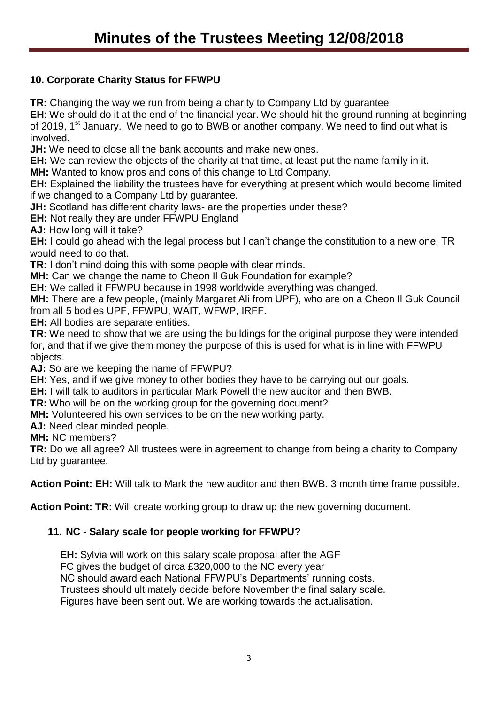### **10. Corporate Charity Status for FFWPU**

**TR:** Changing the way we run from being a charity to Company Ltd by guarantee

**EH**: We should do it at the end of the financial year. We should hit the ground running at beginning of 2019, 1<sup>st</sup> January. We need to go to BWB or another company. We need to find out what is involved.

**JH:** We need to close all the bank accounts and make new ones.

**EH:** We can review the objects of the charity at that time, at least put the name family in it.

**MH:** Wanted to know pros and cons of this change to Ltd Company.

**EH:** Explained the liability the trustees have for everything at present which would become limited if we changed to a Company Ltd by guarantee.

**JH:** Scotland has different charity laws- are the properties under these?

**EH:** Not really they are under FFWPU England

**AJ:** How long will it take?

**EH:** I could go ahead with the legal process but I can't change the constitution to a new one, TR would need to do that.

**TR:** I don't mind doing this with some people with clear minds.

**MH:** Can we change the name to Cheon Il Guk Foundation for example?

**EH:** We called it FFWPU because in 1998 worldwide everything was changed.

**MH:** There are a few people, (mainly Margaret Ali from UPF), who are on a Cheon Il Guk Council from all 5 bodies UPF, FFWPU, WAIT, WFWP, IRFF.

**EH:** All bodies are separate entities.

**TR:** We need to show that we are using the buildings for the original purpose they were intended for, and that if we give them money the purpose of this is used for what is in line with FFWPU objects.

**AJ:** So are we keeping the name of FFWPU?

**EH**: Yes, and if we give money to other bodies they have to be carrying out our goals.

**EH:** I will talk to auditors in particular Mark Powell the new auditor and then BWB.

**TR:** Who will be on the working group for the governing document?

**MH:** Volunteered his own services to be on the new working party.

**AJ:** Need clear minded people.

**MH:** NC members?

**TR:** Do we all agree? All trustees were in agreement to change from being a charity to Company Ltd by guarantee.

**Action Point: EH:** Will talk to Mark the new auditor and then BWB. 3 month time frame possible.

**Action Point: TR:** Will create working group to draw up the new governing document.

### **11. NC - Salary scale for people working for FFWPU?**

**EH:** Sylvia will work on this salary scale proposal after the AGF FC gives the budget of circa £320,000 to the NC every year

NC should award each National FFWPU's Departments' running costs.

Trustees should ultimately decide before November the final salary scale.

Figures have been sent out. We are working towards the actualisation.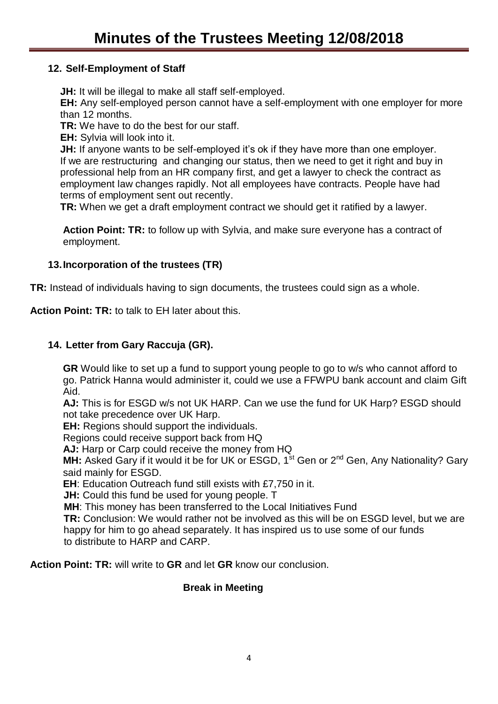#### **12. Self-Employment of Staff**

**JH:** It will be illegal to make all staff self-employed.

**EH:** Any self-employed person cannot have a self-employment with one employer for more than 12 months.

**TR:** We have to do the best for our staff.

**EH:** Sylvia will look into it.

**JH:** If anyone wants to be self-employed it's ok if they have more than one employer. If we are restructuring and changing our status, then we need to get it right and buy in professional help from an HR company first, and get a lawyer to check the contract as employment law changes rapidly. Not all employees have contracts. People have had terms of employment sent out recently.

**TR:** When we get a draft employment contract we should get it ratified by a lawyer.

**Action Point: TR:** to follow up with Sylvia, and make sure everyone has a contract of employment.

#### **13.Incorporation of the trustees (TR)**

**TR:** Instead of individuals having to sign documents, the trustees could sign as a whole.

**Action Point: TR:** to talk to EH later about this.

#### **14. Letter from Gary Raccuja (GR).**

**GR** Would like to set up a fund to support young people to go to w/s who cannot afford to go. Patrick Hanna would administer it, could we use a FFWPU bank account and claim Gift Aid.

**AJ:** This is for ESGD w/s not UK HARP. Can we use the fund for UK Harp? ESGD should not take precedence over UK Harp.

**EH:** Regions should support the individuals.

Regions could receive support back from HQ

**AJ:** Harp or Carp could receive the money from HQ

MH: Asked Gary if it would it be for UK or ESGD, 1<sup>st</sup> Gen or 2<sup>nd</sup> Gen, Any Nationality? Gary said mainly for ESGD.

**EH**: Education Outreach fund still exists with £7,750 in it.

**JH:** Could this fund be used for young people. T

**MH**: This money has been transferred to the Local Initiatives Fund

 **TR:** Conclusion: We would rather not be involved as this will be on ESGD level, but we are happy for him to go ahead separately. It has inspired us to use some of our funds to distribute to HARP and CARP.

**Action Point: TR:** will write to **GR** and let **GR** know our conclusion.

#### **Break in Meeting**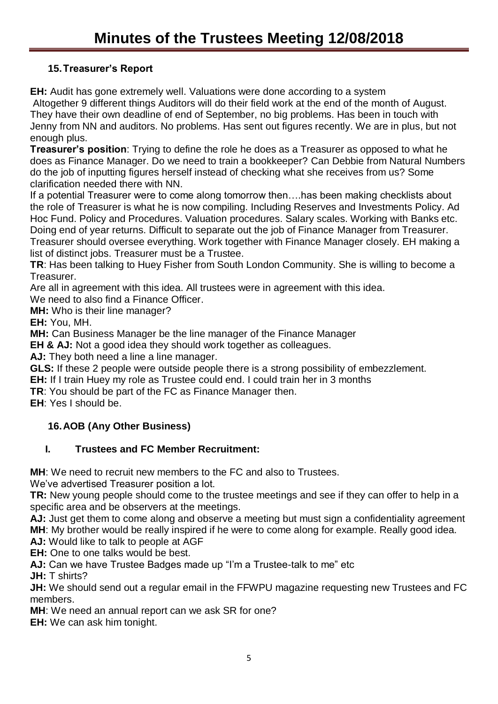# **15.Treasurer's Report**

**EH:** Audit has gone extremely well. Valuations were done according to a system

Altogether 9 different things Auditors will do their field work at the end of the month of August. They have their own deadline of end of September, no big problems. Has been in touch with Jenny from NN and auditors. No problems. Has sent out figures recently. We are in plus, but not enough plus.

**Treasurer's position**: Trying to define the role he does as a Treasurer as opposed to what he does as Finance Manager. Do we need to train a bookkeeper? Can Debbie from Natural Numbers do the job of inputting figures herself instead of checking what she receives from us? Some clarification needed there with NN.

If a potential Treasurer were to come along tomorrow then….has been making checklists about the role of Treasurer is what he is now compiling. Including Reserves and Investments Policy. Ad Hoc Fund. Policy and Procedures. Valuation procedures. Salary scales. Working with Banks etc. Doing end of year returns. Difficult to separate out the job of Finance Manager from Treasurer. Treasurer should oversee everything. Work together with Finance Manager closely. EH making a list of distinct jobs. Treasurer must be a Trustee.

**TR**: Has been talking to Huey Fisher from South London Community. She is willing to become a Treasurer.

Are all in agreement with this idea. All trustees were in agreement with this idea.

We need to also find a Finance Officer.

**MH:** Who is their line manager?

**EH:** You, MH.

**MH:** Can Business Manager be the line manager of the Finance Manager

**EH & AJ:** Not a good idea they should work together as colleagues.

AJ: They both need a line a line manager.

**GLS:** If these 2 people were outside people there is a strong possibility of embezzlement.

**EH:** If I train Huey my role as Trustee could end. I could train her in 3 months

**TR**: You should be part of the FC as Finance Manager then.

**EH**: Yes I should be.

## **16.AOB (Any Other Business)**

## **I. Trustees and FC Member Recruitment:**

**MH**: We need to recruit new members to the FC and also to Trustees.

We've advertised Treasurer position a lot.

**TR:** New young people should come to the trustee meetings and see if they can offer to help in a specific area and be observers at the meetings.

**AJ:** Just get them to come along and observe a meeting but must sign a confidentiality agreement **MH**: My brother would be really inspired if he were to come along for example. Really good idea. **AJ:** Would like to talk to people at AGF

**EH:** One to one talks would be best.

**AJ:** Can we have Trustee Badges made up "I'm a Trustee-talk to me" etc

**JH:** T shirts?

**JH:** We should send out a regular email in the FFWPU magazine requesting new Trustees and FC members.

**MH**: We need an annual report can we ask SR for one?

**EH:** We can ask him tonight.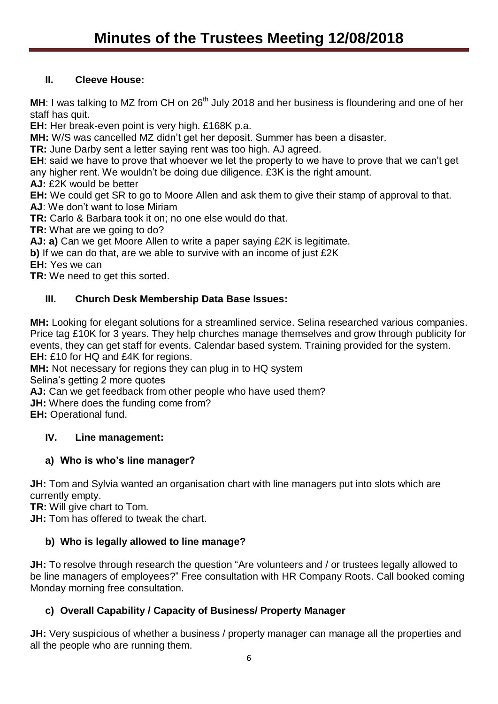### **II. Cleeve House:**

MH: I was talking to MZ from CH on 26<sup>th</sup> July 2018 and her business is floundering and one of her staff has quit.

**EH:** Her break-even point is very high. £168K p.a.

**MH:** W/S was cancelled MZ didn't get her deposit. Summer has been a disaster.

**TR:** June Darby sent a letter saying rent was too high. AJ agreed.

**EH**: said we have to prove that whoever we let the property to we have to prove that we can't get any higher rent. We wouldn't be doing due diligence. £3K is the right amount.

**AJ:** £2K would be better

**EH:** We could get SR to go to Moore Allen and ask them to give their stamp of approval to that.

**AJ**: We don't want to lose Miriam

**TR:** Carlo & Barbara took it on; no one else would do that.

**TR:** What are we going to do?

**AJ: a)** Can we get Moore Allen to write a paper saying £2K is legitimate.

**b)** If we can do that, are we able to survive with an income of just £2K

**EH:** Yes we can

**TR:** We need to get this sorted.

## **III. Church Desk Membership Data Base Issues:**

**MH:** Looking for elegant solutions for a streamlined service. Selina researched various companies. Price tag £10K for 3 years. They help churches manage themselves and grow through publicity for events, they can get staff for events. Calendar based system. Training provided for the system. **EH:** £10 for HQ and £4K for regions.

**MH:** Not necessary for regions they can plug in to HQ system

Selina's getting 2 more quotes

**AJ:** Can we get feedback from other people who have used them?

**JH:** Where does the funding come from?

**EH:** Operational fund.

### **IV. Line management:**

### **a) Who is who's line manager?**

JH: Tom and Sylvia wanted an organisation chart with line managers put into slots which are currently empty.

**TR:** Will give chart to Tom.

**JH:** Tom has offered to tweak the chart.

### **b) Who is legally allowed to line manage?**

**JH:** To resolve through research the question "Are volunteers and / or trustees legally allowed to be line managers of employees?" Free consultation with HR Company Roots. Call booked coming Monday morning free consultation.

### **c) Overall Capability / Capacity of Business/ Property Manager**

**JH:** Very suspicious of whether a business / property manager can manage all the properties and all the people who are running them.